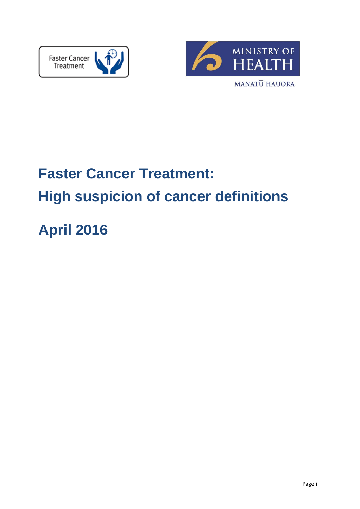



# **Faster Cancer Treatment: High suspicion of cancer definitions**

# **April 2016**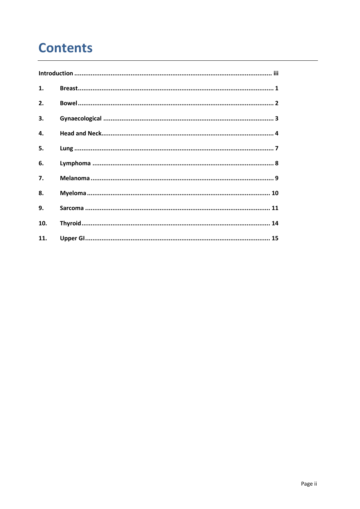# **Contents**

| 1.  |  |
|-----|--|
| 2.  |  |
| 3.  |  |
| 4.  |  |
| 5.  |  |
| 6.  |  |
| 7.  |  |
| 8.  |  |
| 9.  |  |
| 10. |  |
| 11. |  |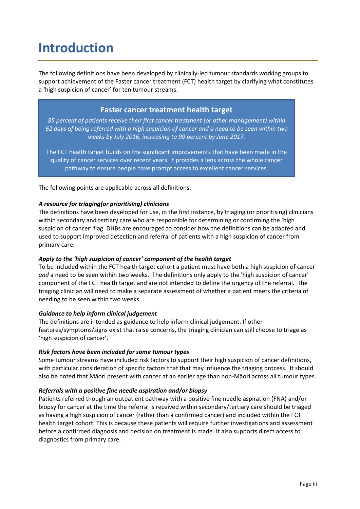# <span id="page-2-0"></span>**Introduction**

The following definitions have been developed by clinically-led tumour standards working groups to support achievement of the Faster cancer treatment (FCT) health target by clarifying what constitutes a 'high suspicion of cancer' for ten tumour streams.

# **Faster cancer treatment health target**

*85 percent of patients receive their first cancer treatment (or other management) within 62 days of being referred with a high suspicion of cancer and a need to be seen within two weeks by July 2016, increasing to 90 percent by June 2017.*

The FCT health target builds on the significant improvements that have been made in the quality of cancer services over recent years. It provides a lens across the whole cancer pathway to ensure people have prompt access to excellent cancer services.

The following points are applicable across all definitions:

#### *A resource for triaging(or prioritising) clinicians*

The definitions have been developed for use, in the first instance, by triaging (or prioritising) clinicians within secondary and tertiary care who are responsible for determining or confirming the 'high suspicion of cancer' flag. DHBs are encouraged to consider how the definitions can be adapted and used to support improved detection and referral of patients with a high suspicion of cancer from primary care.

### *Apply to the 'high suspicion of cancer' component of the health target*

To be included within the FCT health target cohort a patient must have both a high suspicion of cancer *and* a need to be seen within two weeks. The definitions only apply to the 'high suspicion of cancer' component of the FCT health target and are not intended to define the urgency of the referral. The triaging clinician will need to make a separate assessment of whether a patient meets the criteria of needing to be seen within two weeks.

#### *Guidance to help inform clinical judgement*

The definitions are intended as guidance to help inform clinical judgement. If other features/symptoms/signs exist that raise concerns, the triaging clinician can still choose to triage as 'high suspicion of cancer'.

#### *Risk factors have been included for some tumour types*

Some tumour streams have included risk factors to support their high suspicion of cancer definitions, with particular consideration of specific factors that that may influence the triaging process. It should also be noted that Māori present with cancer at an earlier age than non-Māori across all tumour types.

#### *Referrals with a positive fine needle aspiration and/or biopsy*

Patients referred though an outpatient pathway with a positive fine needle aspiration (FNA) and/or biopsy for cancer at the time the referral is received within secondary/tertiary care should be triaged as having a high suspicion of cancer (rather than a confirmed cancer) and included within the FCT health target cohort. This is because these patients will require further investigations and assessment before a confirmed diagnosis and decision on treatment is made. It also supports direct access to diagnostics from primary care.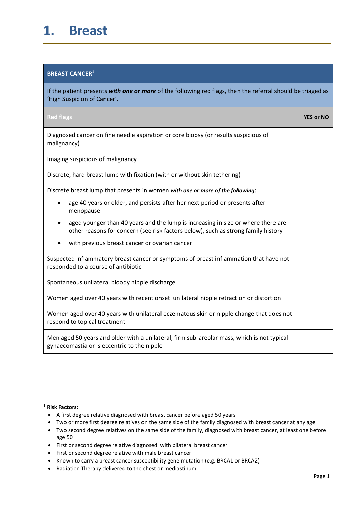# <span id="page-3-0"></span>**1. Breast**

### **BREAST CANCER<sup>1</sup>**

If the patient presents *with one or more* of the following red flags, then the referral should be triaged as 'High Suspicion of Cancer'.

| <b>Red flags</b>                                                                                                                                                      | <b>YES or NO</b> |
|-----------------------------------------------------------------------------------------------------------------------------------------------------------------------|------------------|
| Diagnosed cancer on fine needle aspiration or core biopsy (or results suspicious of<br>malignancy)                                                                    |                  |
| Imaging suspicious of malignancy                                                                                                                                      |                  |
| Discrete, hard breast lump with fixation (with or without skin tethering)                                                                                             |                  |
| Discrete breast lump that presents in women with one or more of the following:                                                                                        |                  |
| age 40 years or older, and persists after her next period or presents after<br>$\bullet$<br>menopause                                                                 |                  |
| aged younger than 40 years and the lump is increasing in size or where there are<br>other reasons for concern (see risk factors below), such as strong family history |                  |
| with previous breast cancer or ovarian cancer                                                                                                                         |                  |
| Suspected inflammatory breast cancer or symptoms of breast inflammation that have not<br>responded to a course of antibiotic                                          |                  |
| Spontaneous unilateral bloody nipple discharge                                                                                                                        |                  |
| Women aged over 40 years with recent onset unilateral nipple retraction or distortion                                                                                 |                  |
| Women aged over 40 years with unilateral eczematous skin or nipple change that does not<br>respond to topical treatment                                               |                  |
| Men aged 50 years and older with a unilateral, firm sub-areolar mass, which is not typical<br>gynaecomastia or is eccentric to the nipple                             |                  |

#### <sup>1</sup> **Risk Factors:**

1

- A first degree relative diagnosed with breast cancer before aged 50 years
- Two or more first degree relatives on the same side of the family diagnosed with breast cancer at any age
- Two second degree relatives on the same side of the family, diagnosed with breast cancer, at least one before age 50
- First or second degree relative diagnosed with bilateral breast cancer
- First or second degree relative with male breast cancer
- Known to carry a breast cancer susceptibility gene mutation (e.g. BRCA1 or BRCA2)
- Radiation Therapy delivered to the chest or mediastinum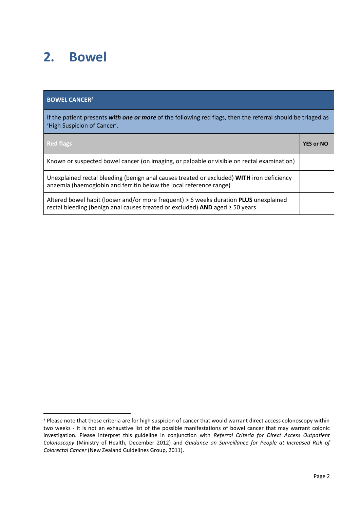# <span id="page-4-0"></span>**2. Bowel**

# **BOWEL CANCER<sup>2</sup>**

**.** 

If the patient presents *with one or more* of the following red flags, then the referral should be triaged as 'High Suspicion of Cancer'.

| <b>Red flags</b>                                                                                                                                                                  | <b>YES or NO</b> |
|-----------------------------------------------------------------------------------------------------------------------------------------------------------------------------------|------------------|
| Known or suspected bowel cancer (on imaging, or palpable or visible on rectal examination)                                                                                        |                  |
| Unexplained rectal bleeding (benign anal causes treated or excluded) WITH iron deficiency<br>anaemia (haemoglobin and ferritin below the local reference range)                   |                  |
| Altered bowel habit (looser and/or more frequent) > 6 weeks duration <b>PLUS</b> unexplained<br>rectal bleeding (benign anal causes treated or excluded) AND aged $\geq$ 50 years |                  |

<sup>&</sup>lt;sup>2</sup> Please note that these criteria are for high suspicion of cancer that would warrant direct access colonoscopy within two weeks - it is not an exhaustive list of the possible manifestations of bowel cancer that may warrant colonic investigation. Please interpret this guideline in conjunction with *Referral Criteria for Direct Access Outpatient Colonoscopy* (Ministry of Health, December 2012) and *Guidance on Surveillance for People at Increased Risk of Colorectal Cancer* (New Zealand Guidelines Group, 2011).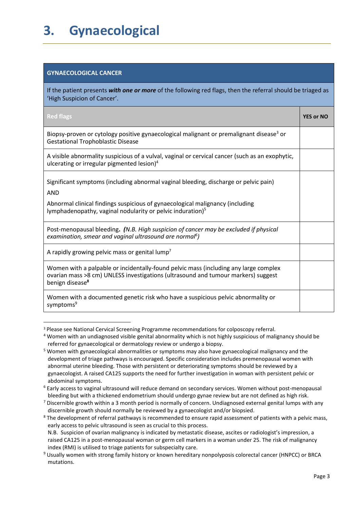# <span id="page-5-0"></span>**3. Gynaecological**

### **GYNAECOLOGICAL CANCER**

**.** 

If the patient presents *with one or more* of the following red flags, then the referral should be triaged as 'High Suspicion of Cancer'.

| <b>Red flags</b>                                                                                                                                                                                         | <b>YES or NO</b> |
|----------------------------------------------------------------------------------------------------------------------------------------------------------------------------------------------------------|------------------|
| Biopsy-proven or cytology positive gynaecological malignant or premalignant disease <sup>3</sup> or<br><b>Gestational Trophoblastic Disease</b>                                                          |                  |
| A visible abnormality suspicious of a vulval, vaginal or cervical cancer (such as an exophytic,<br>ulcerating or irregular pigmented lesion) <sup>4</sup>                                                |                  |
| Significant symptoms (including abnormal vaginal bleeding, discharge or pelvic pain)<br><b>AND</b>                                                                                                       |                  |
| Abnormal clinical findings suspicious of gynaecological malignancy (including<br>lymphadenopathy, vaginal nodularity or pelvic induration) <sup>5</sup>                                                  |                  |
| Post-menopausal bleeding. (N.B. High suspicion of cancer may be excluded if physical<br>examination, smear and vaginal ultrasound are normal <sup>6</sup> )                                              |                  |
| A rapidly growing pelvic mass or genital lump <sup>7</sup>                                                                                                                                               |                  |
| Women with a palpable or incidentally-found pelvic mass (including any large complex<br>ovarian mass >8 cm) UNLESS investigations (ultrasound and tumour markers) suggest<br>benign disease <sup>8</sup> |                  |
| Women with a documented genetic risk who have a suspicious pelvic abnormality or<br>symptoms <sup>9</sup>                                                                                                |                  |

<sup>3</sup> Please see National Cervical Screening Programme recommendations for colposcopy referral.

<sup>4</sup> Women with an undiagnosed visible genital abnormality which is not highly suspicious of malignancy should be referred for gynaecological or dermatology review or undergo a biopsy.

<sup>5</sup> Women with gynaecological abnormalities or symptoms may also have gynaecological malignancy and the development of triage pathways is encouraged. Specific consideration includes premenopausal women with abnormal uterine bleeding. Those with persistent or deteriorating symptoms should be reviewed by a gynaecologist. A raised CA125 supports the need for further investigation in woman with persistent pelvic or abdominal symptoms.

<sup>6</sup> Early access to vaginal ultrasound will reduce demand on secondary services. Women without post-menopausal bleeding but with a thickened endometrium should undergo gynae review but are not defined as high risk.

 $7$  Discernible growth within a 3 month period is normally of concern. Undiagnosed external genital lumps with any discernible growth should normally be reviewed by a gynaecologist and/or biopsied.

<sup>&</sup>lt;sup>8</sup> The development of referral pathways is recommended to ensure rapid assessment of patients with a pelvic mass, early access to pelvic ultrasound is seen as crucial to this process.

N.B. Suspicion of ovarian malignancy is indicated by metastatic disease, ascites or radiologist's impression, a raised CA125 in a post-menopausal woman or germ cell markers in a woman under 25. The risk of malignancy index (RMI) is utilised to triage patients for subspecialty care.

<sup>9</sup> Usually women with strong family history or known hereditary nonpolyposis colorectal cancer (HNPCC) or BRCA mutations.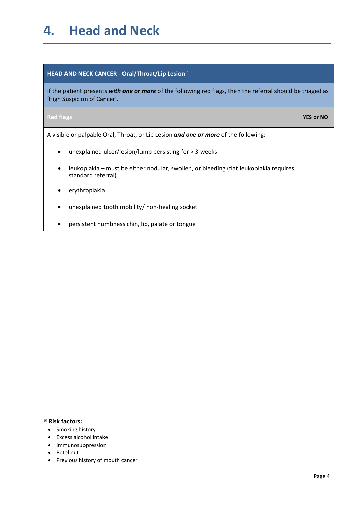# <span id="page-6-0"></span>**4. Head and Neck**

### **HEAD AND NECK CANCER - Oral/Throat/Lip Lesion<sup>10</sup>**

If the patient presents *with one or more* of the following red flags, then the referral should be triaged as 'High Suspicion of Cancer'.

| <b>Red flags</b>                                                                                            | <b>YES or NO</b> |
|-------------------------------------------------------------------------------------------------------------|------------------|
| A visible or palpable Oral, Throat, or Lip Lesion and one or more of the following:                         |                  |
| unexplained ulcer/lesion/lump persisting for $>$ 3 weeks<br>$\bullet$                                       |                  |
| leukoplakia – must be either nodular, swollen, or bleeding (flat leukoplakia requires<br>standard referral) |                  |
| erythroplakia                                                                                               |                  |
| unexplained tooth mobility/ non-healing socket                                                              |                  |
| persistent numbness chin, lip, palate or tongue                                                             |                  |

<sup>10</sup> **Risk factors:**

- Smoking history
- Excess alcohol intake
- Immunosuppression
- Betel nut
- Previous history of mouth cancer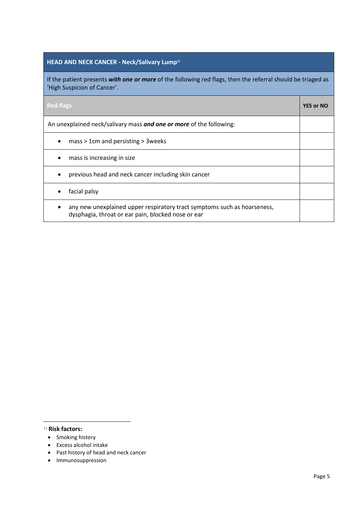### **HEAD AND NECK CANCER - Neck/Salivary Lump<sup>11</sup>**

If the patient presents *with one or more* of the following red flags, then the referral should be triaged as 'High Suspicion of Cancer'.

| <b>Red flags</b>                                                                                                               | <b>YES or NO</b> |
|--------------------------------------------------------------------------------------------------------------------------------|------------------|
| An unexplained neck/salivary mass and one or more of the following:                                                            |                  |
| mass > 1cm and persisting > 3 weeks                                                                                            |                  |
| mass is increasing in size                                                                                                     |                  |
| previous head and neck cancer including skin cancer                                                                            |                  |
| facial palsy                                                                                                                   |                  |
| any new unexplained upper respiratory tract symptoms such as hoarseness,<br>dysphagia, throat or ear pain, blocked nose or ear |                  |

#### <sup>11</sup> **Risk factors:**

- Smoking history
- Excess alcohol intake
- Past history of head and neck cancer
- Immunosuppression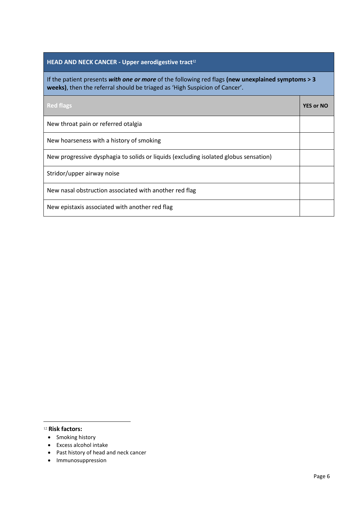### **HEAD AND NECK CANCER - Upper aerodigestive tract<sup>12</sup>**

If the patient presents *with one or more* of the following red flags **(new unexplained symptoms > 3 weeks)**, then the referral should be triaged as 'High Suspicion of Cancer'.

| <b>Red flags</b>                                                                     | <b>YES or NO</b> |
|--------------------------------------------------------------------------------------|------------------|
| New throat pain or referred otalgia                                                  |                  |
| New hoarseness with a history of smoking                                             |                  |
| New progressive dysphagia to solids or liquids (excluding isolated globus sensation) |                  |
| Stridor/upper airway noise                                                           |                  |
| New nasal obstruction associated with another red flag                               |                  |
| New epistaxis associated with another red flag                                       |                  |

#### <sup>12</sup> **Risk factors:**

- Smoking history
- Excess alcohol intake
- Past history of head and neck cancer
- Immunosuppression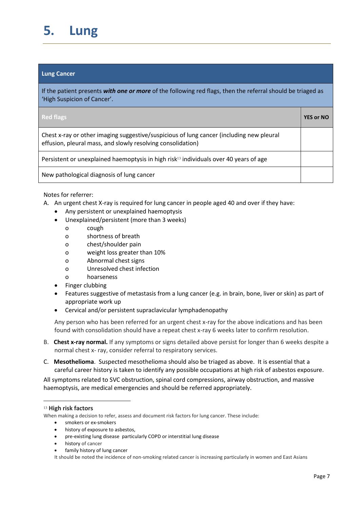# <span id="page-9-0"></span>**5. Lung**

#### **Lung Cancer**

If the patient presents *with one or more* of the following red flags, then the referral should be triaged as 'High Suspicion of Cancer'.

| <b>Red flags</b>                                                                                                                                        | <b>YES or NO</b> |
|---------------------------------------------------------------------------------------------------------------------------------------------------------|------------------|
| Chest x-ray or other imaging suggestive/suspicious of lung cancer (including new pleural<br>effusion, pleural mass, and slowly resolving consolidation) |                  |
| Persistent or unexplained haemoptysis in high risk <sup>13</sup> individuals over 40 years of age                                                       |                  |
| New pathological diagnosis of lung cancer                                                                                                               |                  |

#### Notes for referrer:

- A. An urgent chest X-ray is required for lung cancer in people aged 40 and over if they have:
	- Any persistent or unexplained haemoptysis
	- Unexplained/persistent (more than 3 weeks)
		- o cough
		- o shortness of breath
		- o chest/shoulder pain
		- o weight loss greater than 10%
		- o Abnormal chest signs
		- o Unresolved chest infection
		- o hoarseness
	- Finger clubbing
	- Features suggestive of metastasis from a lung cancer (e.g. in brain, bone, liver or skin) as part of appropriate work up
	- Cervical and/or persistent supraclavicular lymphadenopathy

Any person who has been referred for an urgent chest x-ray for the above indications and has been found with consolidation should have a repeat chest x-ray 6 weeks later to confirm resolution.

- B. **Chest x-ray normal.** If any symptoms or signs detailed above persist for longer than 6 weeks despite a normal chest x- ray, consider referral to respiratory services.
- C. **Mesothelioma**. Suspected mesothelioma should also be triaged as above. It is essential that a careful career history is taken to identify any possible occupations at high risk of asbestos exposure.

All symptoms related to SVC obstruction, spinal cord compressions, airway obstruction, and massive haemoptysis, are medical emergencies and should be referred appropriately.

1

When making a decision to refer, assess and document risk factors for lung cancer. These include:

- smokers or ex-smokers
- history of exposure to asbestos,
- pre-existing lung disease particularly COPD or interstitial lung disease
- history of cancer
- family history of lung cancer

It should be noted the incidence of non-smoking related cancer is increasing particularly in women and East Asians

<sup>13</sup> **High risk factors**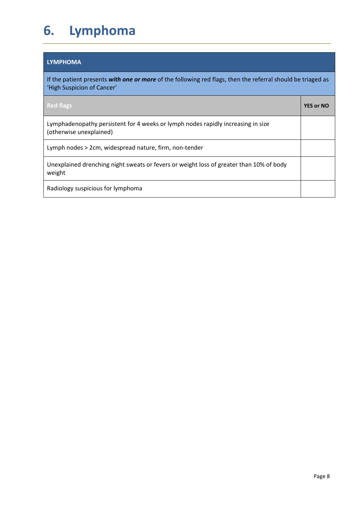# <span id="page-10-0"></span>**6. Lymphoma**

### **LYMPHOMA**

If the patient presents *with one or more* of the following red flags, then the referral should be triaged as 'High Suspicion of Cancer'

| <b>Red flags</b>                                                                                            | <b>YES or NO</b> |
|-------------------------------------------------------------------------------------------------------------|------------------|
| Lymphadenopathy persistent for 4 weeks or lymph nodes rapidly increasing in size<br>(otherwise unexplained) |                  |
| Lymph nodes > 2cm, widespread nature, firm, non-tender                                                      |                  |
| Unexplained drenching night sweats or fevers or weight loss of greater than 10% of body<br>weight           |                  |
| Radiology suspicious for lymphoma                                                                           |                  |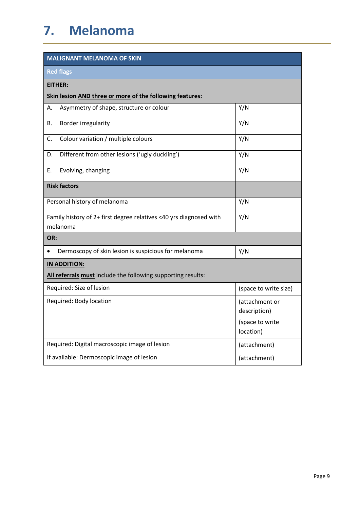<span id="page-11-0"></span>

| <b>MALIGNANT MELANOMA OF SKIN</b>                                              |                                |  |
|--------------------------------------------------------------------------------|--------------------------------|--|
| <b>Red flags</b>                                                               |                                |  |
| EITHER:                                                                        |                                |  |
| Skin lesion AND three or more of the following features:                       |                                |  |
| Asymmetry of shape, structure or colour<br>А.                                  | Y/N                            |  |
| Border irregularity<br>В.                                                      | Y/N                            |  |
| Colour variation / multiple colours<br>C.                                      | Y/N                            |  |
| Different from other lesions ('ugly duckling')<br>D.                           | Y/N                            |  |
| Е.<br>Evolving, changing                                                       | Y/N                            |  |
| <b>Risk factors</b>                                                            |                                |  |
| Personal history of melanoma                                                   | Y/N                            |  |
| Family history of 2+ first degree relatives <40 yrs diagnosed with<br>melanoma | Y/N                            |  |
| OR:                                                                            |                                |  |
| Dermoscopy of skin lesion is suspicious for melanoma                           | Y/N                            |  |
| IN ADDITION:                                                                   |                                |  |
| All referrals must include the following supporting results:                   |                                |  |
| Required: Size of lesion                                                       | (space to write size)          |  |
| Required: Body location                                                        | (attachment or<br>description) |  |
|                                                                                | (space to write<br>location)   |  |
| Required: Digital macroscopic image of lesion                                  | (attachment)                   |  |
| If available: Dermoscopic image of lesion                                      | (attachment)                   |  |

i.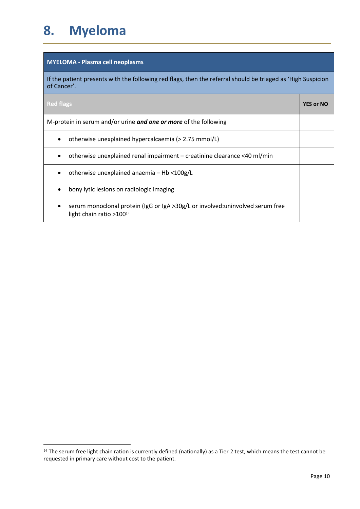# <span id="page-12-0"></span>**8. Myeloma**

1

### **MYELOMA - Plasma cell neoplasms**

If the patient presents with the following red flags, then the referral should be triaged as 'High Suspicion of Cancer'.

| <b>Red flags</b>                                                                                                       | <b>YES or NO</b> |
|------------------------------------------------------------------------------------------------------------------------|------------------|
| M-protein in serum and/or urine and one or more of the following                                                       |                  |
| otherwise unexplained hypercalcaemia (> 2.75 mmol/L)                                                                   |                  |
| otherwise unexplained renal impairment - creatinine clearance <40 ml/min                                               |                  |
| otherwise unexplained anaemia - Hb <100g/L                                                                             |                  |
| bony lytic lesions on radiologic imaging                                                                               |                  |
| serum monoclonal protein (IgG or IgA >30g/L or involved: uninvolved serum free<br>light chain ratio >100 <sup>14</sup> |                  |

<sup>&</sup>lt;sup>14</sup> The serum free light chain ration is currently defined (nationally) as a Tier 2 test, which means the test cannot be requested in primary care without cost to the patient.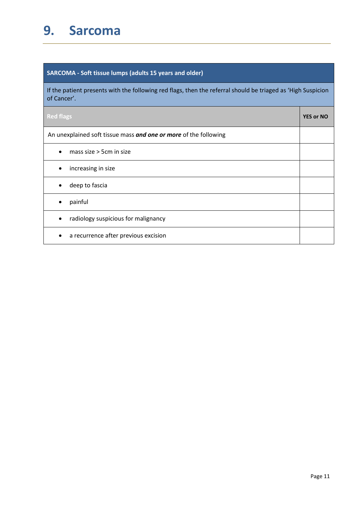# <span id="page-13-0"></span>**9. Sarcoma**

# **SARCOMA - Soft tissue lumps (adults 15 years and older)**

If the patient presents with the following red flags, then the referral should be triaged as 'High Suspicion of Cancer'.

| <b>Red flags</b>                                                 | <b>YES or NO</b> |
|------------------------------------------------------------------|------------------|
| An unexplained soft tissue mass and one or more of the following |                  |
| mass size $>$ 5cm in size                                        |                  |
| increasing in size<br>٠                                          |                  |
| deep to fascia                                                   |                  |
| painful<br>٠                                                     |                  |
| radiology suspicious for malignancy<br>٠                         |                  |
| a recurrence after previous excision                             |                  |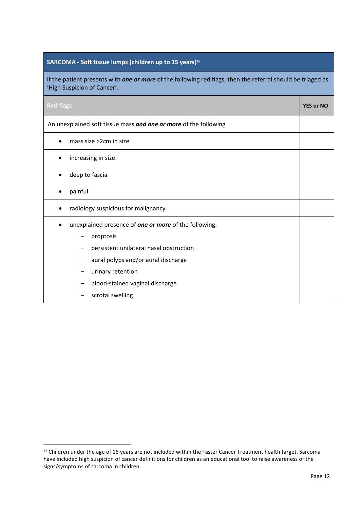# **SARCOMA - Soft tissue lumps (children up to 15 years)<sup>15</sup>**

If the patient presents with *one or more* of the following red flags, then the referral should be triaged as 'High Suspicion of Cancer'.

| <b>Red flags</b>                                                 | <b>YES or NO</b> |
|------------------------------------------------------------------|------------------|
| An unexplained soft tissue mass and one or more of the following |                  |
| mass size >2cm in size                                           |                  |
| increasing in size                                               |                  |
| deep to fascia                                                   |                  |
| painful                                                          |                  |
| radiology suspicious for malignancy                              |                  |
| unexplained presence of one or more of the following:            |                  |
| proptosis                                                        |                  |
| persistent unilateral nasal obstruction                          |                  |
| aural polyps and/or aural discharge                              |                  |
| urinary retention                                                |                  |
| blood-stained vaginal discharge                                  |                  |
| scrotal swelling                                                 |                  |

<sup>15</sup> Children under the age of 16 years are not included within the Faster Cancer Treatment health target. Sarcoma have included high suspicion of cancer definitions for children as an educational tool to raise awareness of the signs/symptoms of sarcoma in children.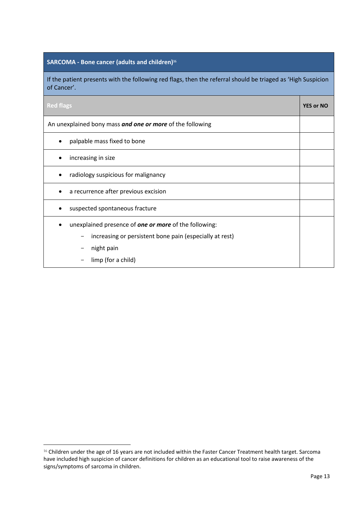### **SARCOMA - Bone cancer (adults and children) 16**

If the patient presents with the following red flags, then the referral should be triaged as 'High Suspicion of Cancer'.

| <b>Red flags</b>                                                                                                                                            | <b>YES or NO</b> |
|-------------------------------------------------------------------------------------------------------------------------------------------------------------|------------------|
| An unexplained bony mass and one or more of the following                                                                                                   |                  |
| palpable mass fixed to bone                                                                                                                                 |                  |
| increasing in size                                                                                                                                          |                  |
| radiology suspicious for malignancy                                                                                                                         |                  |
| a recurrence after previous excision                                                                                                                        |                  |
| suspected spontaneous fracture                                                                                                                              |                  |
| unexplained presence of <b>one or more</b> of the following:<br>increasing or persistent bone pain (especially at rest)<br>night pain<br>limp (for a child) |                  |

<sup>&</sup>lt;sup>16</sup> Children under the age of 16 years are not included within the Faster Cancer Treatment health target. Sarcoma have included high suspicion of cancer definitions for children as an educational tool to raise awareness of the signs/symptoms of sarcoma in children.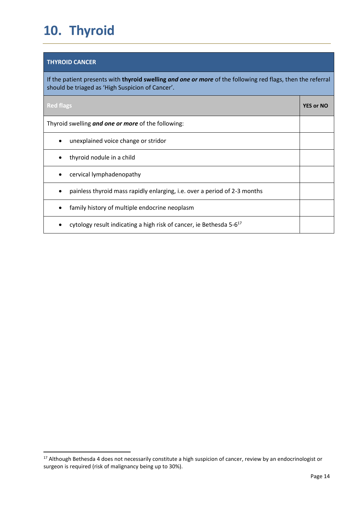# <span id="page-16-0"></span>**10. Thyroid**

### **THYROID CANCER**

1

If the patient presents with **thyroid swelling** *and one or more* of the following red flags, then the referral should be triaged as 'High Suspicion of Cancer'.

| <b>Red flags</b>                                                                | <b>YES or NO</b> |
|---------------------------------------------------------------------------------|------------------|
| Thyroid swelling and one or more of the following:                              |                  |
| unexplained voice change or stridor                                             |                  |
| thyroid nodule in a child                                                       |                  |
| cervical lymphadenopathy                                                        |                  |
| painless thyroid mass rapidly enlarging, i.e. over a period of 2-3 months       |                  |
| family history of multiple endocrine neoplasm                                   |                  |
| cytology result indicating a high risk of cancer, ie Bethesda 5-6 <sup>17</sup> |                  |

<sup>&</sup>lt;sup>17</sup> Although Bethesda 4 does not necessarily constitute a high suspicion of cancer, review by an endocrinologist or surgeon is required (risk of malignancy being up to 30%).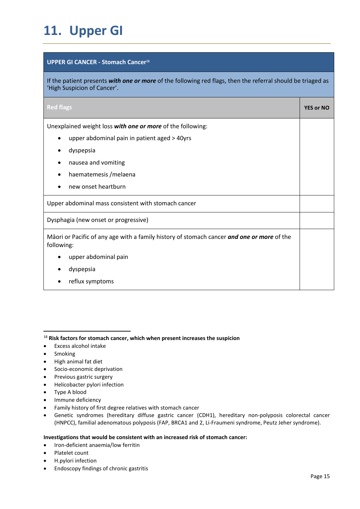# <span id="page-17-0"></span>**11. Upper GI**

#### **UPPER GI CANCER - Stomach Cancer<sup>18</sup>**

If the patient presents *with one or more* of the following red flags, then the referral should be triaged as 'High Suspicion of Cancer'.

| <b>Red flags</b>                                                                                         | <b>YES or NO</b> |
|----------------------------------------------------------------------------------------------------------|------------------|
| Unexplained weight loss with one or more of the following:                                               |                  |
| upper abdominal pain in patient aged > 40yrs                                                             |                  |
| dyspepsia                                                                                                |                  |
| nausea and vomiting                                                                                      |                  |
| haematemesis / melaena                                                                                   |                  |
| new onset heartburn                                                                                      |                  |
| Upper abdominal mass consistent with stomach cancer                                                      |                  |
| Dysphagia (new onset or progressive)                                                                     |                  |
| Māori or Pacific of any age with a family history of stomach cancer and one or more of the<br>following: |                  |
| upper abdominal pain                                                                                     |                  |
| dyspepsia                                                                                                |                  |
| reflux symptoms                                                                                          |                  |

- Excess alcohol intake
- Smoking

 $\overline{a}$ 

- High animal fat diet
- **•** Socio-economic deprivation
- Previous gastric surgery
- Helicobacter pylori infection
- Type A blood
- Immune deficiency
- Family history of first degree relatives with stomach cancer
- Genetic syndromes (hereditary diffuse gastric cancer (CDH1), hereditary non-polyposis colorectal cancer (HNPCC), familial adenomatous polyposis (FAP, BRCA1 and 2, Li-Fraumeni syndrome, Peutz Jeher syndrome).

#### **Investigations that would be consistent with an increased risk of stomach cancer:**

- Iron-deficient anaemia/low ferritin
- Platelet count
- H.pylori infection
- Endoscopy findings of chronic gastritis

<sup>18</sup> **Risk factors for stomach cancer, which when present increases the suspicion**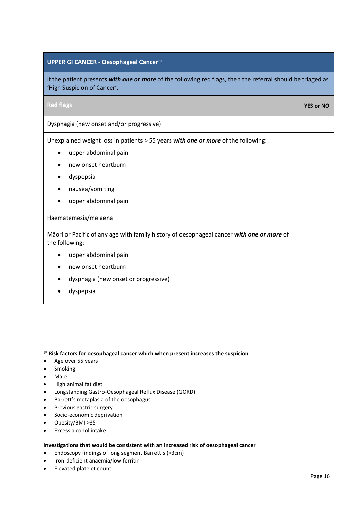#### **UPPER GI CANCER - Oesophageal Cancer<sup>19</sup>**

If the patient presents *with one or more* of the following red flags, then the referral should be triaged as 'High Suspicion of Cancer'.

| <b>Red flags</b>                                                                                            | <b>YES or NO</b> |
|-------------------------------------------------------------------------------------------------------------|------------------|
| Dysphagia (new onset and/or progressive)                                                                    |                  |
| Unexplained weight loss in patients > 55 years with one or more of the following:                           |                  |
| upper abdominal pain                                                                                        |                  |
| new onset heartburn                                                                                         |                  |
| dyspepsia                                                                                                   |                  |
| nausea/vomiting                                                                                             |                  |
| upper abdominal pain                                                                                        |                  |
| Haematemesis/melaena                                                                                        |                  |
| Māori or Pacific of any age with family history of oesophageal cancer with one or more of<br>the following: |                  |
| upper abdominal pain                                                                                        |                  |
| new onset heartburn                                                                                         |                  |
| dysphagia (new onset or progressive)                                                                        |                  |
| dyspepsia                                                                                                   |                  |
|                                                                                                             |                  |

<sup>19</sup> **Risk factors for oesophageal cancer which when present increases the suspicion** 

- Age over 55 years
- Smoking
- Male

**.** 

- High animal fat diet
- Longstanding Gastro-Oesophageal Reflux Disease (GORD)
- Barrett's metaplasia of the oesophagus
- Previous gastric surgery
- Socio-economic deprivation
- Obesity/BMI >35
- Excess alcohol intake

#### **Investigations that would be consistent with an increased risk of oesophageal cancer**

- Endoscopy findings of long segment Barrett's (>3cm)
- Iron-deficient anaemia/low ferritin
- Elevated platelet count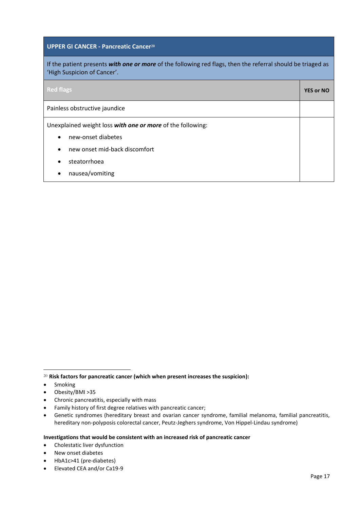#### **UPPER GI CANCER - Pancreatic Cancer<sup>20</sup>**

If the patient presents *with one or more* of the following red flags, then the referral should be triaged as 'High Suspicion of Cancer'.

| <b>Red flags</b>                                           | <b>YES or NO</b> |
|------------------------------------------------------------|------------------|
| Painless obstructive jaundice                              |                  |
| Unexplained weight loss with one or more of the following: |                  |
| new-onset diabetes<br>$\bullet$                            |                  |
| new onset mid-back discomfort<br>$\bullet$                 |                  |
| steatorrhoea<br>$\bullet$                                  |                  |
| nausea/vomiting                                            |                  |

**.** 

- Chronic pancreatitis, especially with mass
- Family history of first degree relatives with pancreatic cancer;
- Genetic syndromes (hereditary breast and ovarian cancer syndrome, familial melanoma, familial pancreatitis, hereditary non-polyposis colorectal cancer, Peutz-Jeghers syndrome, Von Hippel-Lindau syndrome)

#### **Investigations that would be consistent with an increased risk of pancreatic cancer**

- Cholestatic liver dysfunction
- New onset diabetes
- HbA1c>41 (pre-diabetes)
- Elevated CEA and/or Ca19-9

<sup>20</sup> **Risk factors for pancreatic cancer (which when present increases the suspicion):**

<sup>•</sup> Smoking

Obesity/BMI >35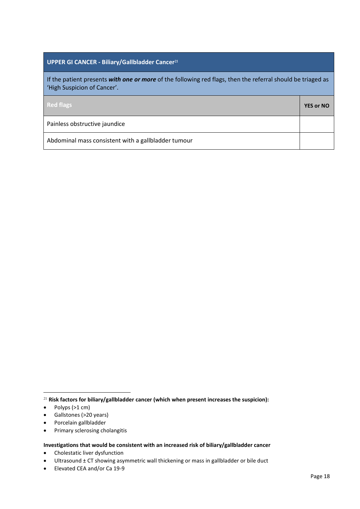### **UPPER GI CANCER - Biliary/Gallbladder Cancer<sup>21</sup>**

If the patient presents *with one or more* of the following red flags, then the referral should be triaged as 'High Suspicion of Cancer'.

| <b>Red flags</b>                                    | <b>YES or NO</b> |
|-----------------------------------------------------|------------------|
| Painless obstructive jaundice                       |                  |
| Abdominal mass consistent with a gallbladder tumour |                  |

- Gallstones (>20 years)
- Porcelain gallbladder
- Primary sclerosing cholangitis

**Investigations that would be consistent with an increased risk of biliary/gallbladder cancer** 

Cholestatic liver dysfunction

Elevated CEA and/or Ca 19-9

**<sup>.</sup>** <sup>21</sup> **Risk factors for biliary/gallbladder cancer (which when present increases the suspicion):**

<sup>•</sup> Polyps (>1 cm)

Ultrasound ± CT showing asymmetric wall thickening or mass in gallbladder or bile duct